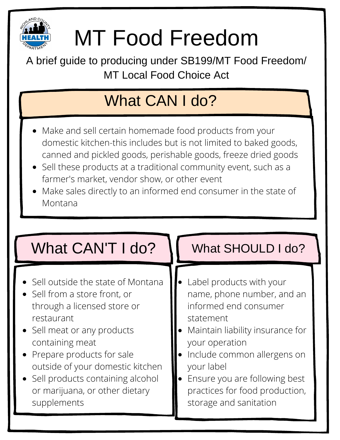

# MT Food Freedom

A brief guide to producing under SB199/MT Food Freedom/ MT Local Food Choice Act

## What CAN I do?

- Make and sell certain homemade food products from your domestic kitchen-this includes but is not limited to baked goods, canned and pickled goods, perishable goods, freeze dried goods
- Sell these products at a traditional community event, such as a farmer's market, vendor show, or other event
- Make sales directly to an informed end consumer in the state of Montana

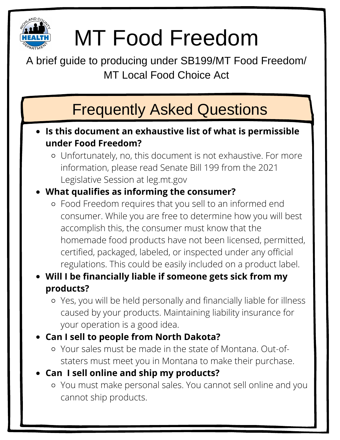

## MT Food Freedom

A brief guide to producing under SB199/MT Food Freedom/ MT Local Food Choice Act

### Frequently Asked Questions

- **Is this document an exhaustive list of what is permissible under Food Freedom?**
	- Unfortunately, no, this document is not exhaustive. For more information, please read Senate Bill 199 from the 2021 Legislative Session at leg.mt.gov

### **What qualifies as informing the consumer?**

- Food Freedom requires that you sell to an informed end consumer. While you are free to determine how you will best accomplish this, the consumer must know that the homemade food products have not been licensed, permitted, certified, packaged, labeled, or inspected under any official regulations. This could be easily included on a product label.
- **Will I be financially liable if someone gets sick from my products?**
	- Yes, you will be held personally and financially liable for illness caused by your products. Maintaining liability insurance for your operation is a good idea.
- **Can I sell to people from North Dakota?**
	- Your sales must be made in the state of Montana. Out-ofstaters must meet you in Montana to make their purchase.
- **Can I sell online and ship my products?**
	- You must make personal sales. You cannot sell online and you cannot ship products.